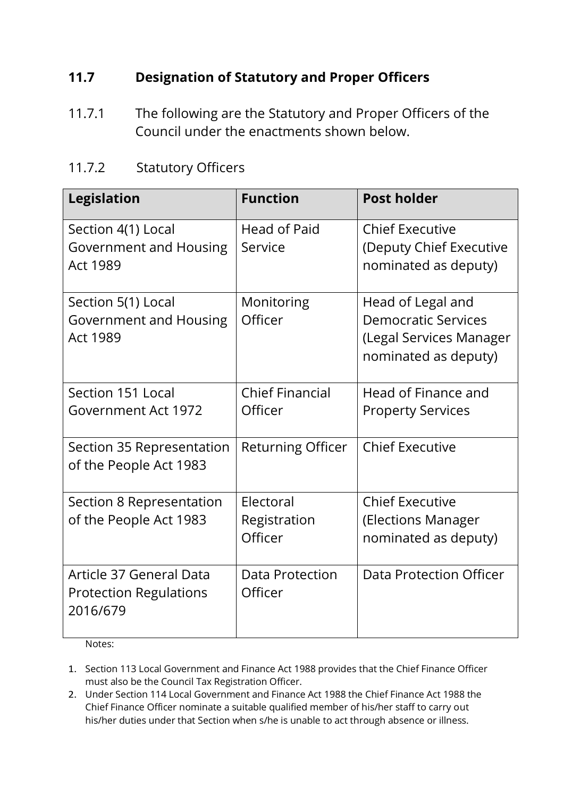## **11.7 Designation of Statutory and Proper Officers**

11.7.1 The following are the Statutory and Proper Officers of the Council under the enactments shown below.

## 11.7.2 Statutory Officers

| <b>Legislation</b>            | <b>Function</b>          | <b>Post holder</b>         |
|-------------------------------|--------------------------|----------------------------|
| Section 4(1) Local            | Head of Paid             | <b>Chief Executive</b>     |
| Government and Housing        | Service                  | (Deputy Chief Executive    |
| <b>Act 1989</b>               |                          | nominated as deputy)       |
| Section 5(1) Local            | Monitoring               | Head of Legal and          |
| Government and Housing        | Officer                  | <b>Democratic Services</b> |
| <b>Act 1989</b>               |                          | (Legal Services Manager    |
|                               |                          | nominated as deputy)       |
| Section 151 Local             | <b>Chief Financial</b>   | Head of Finance and        |
| Government Act 1972           | Officer                  | <b>Property Services</b>   |
| Section 35 Representation     | <b>Returning Officer</b> | <b>Chief Executive</b>     |
| of the People Act 1983        |                          |                            |
| Section 8 Representation      | Electoral                | <b>Chief Executive</b>     |
| of the People Act 1983        | Registration             | (Elections Manager         |
|                               | Officer                  | nominated as deputy)       |
| Article 37 General Data       | <b>Data Protection</b>   | Data Protection Officer    |
| <b>Protection Regulations</b> | Officer                  |                            |
| 2016/679                      |                          |                            |
|                               |                          |                            |

Notes:

- 1. Section 113 Local Government and Finance Act 1988 provides that the Chief Finance Officer must also be the Council Tax Registration Officer.
- 2. Under Section 114 Local Government and Finance Act 1988 the Chief Finance Act 1988 the Chief Finance Officer nominate a suitable qualified member of his/her staff to carry out his/her duties under that Section when s/he is unable to act through absence or illness.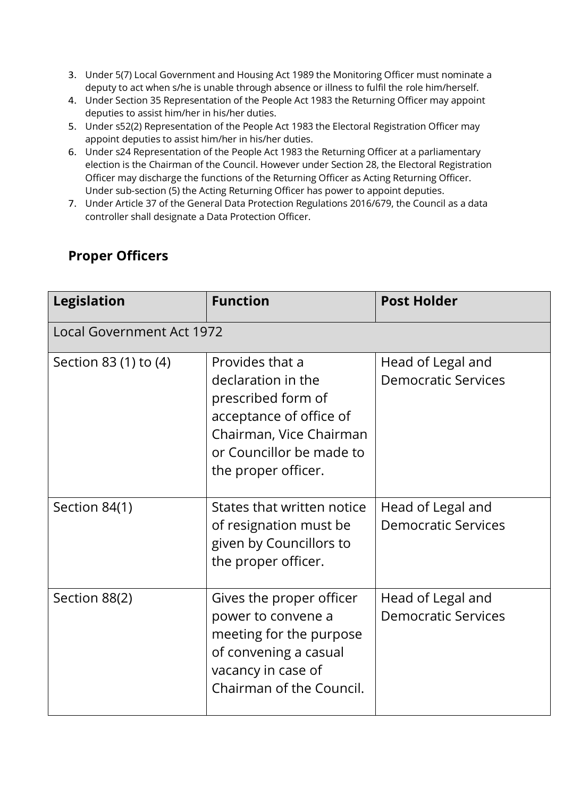- 3. Under 5(7) Local Government and Housing Act 1989 the Monitoring Officer must nominate a deputy to act when s/he is unable through absence or illness to fulfil the role him/herself.
- 4. Under Section 35 Representation of the People Act 1983 the Returning Officer may appoint deputies to assist him/her in his/her duties.
- 5. Under s52(2) Representation of the People Act 1983 the Electoral Registration Officer may appoint deputies to assist him/her in his/her duties.
- 6. Under s24 Representation of the People Act 1983 the Returning Officer at a parliamentary election is the Chairman of the Council. However under Section 28, the Electoral Registration Officer may discharge the functions of the Returning Officer as Acting Returning Officer. Under sub-section (5) the Acting Returning Officer has power to appoint deputies.
- 7. Under Article 37 of the General Data Protection Regulations 2016/679, the Council as a data controller shall designate a Data Protection Officer.

## **Proper Officers**

| <b>Legislation</b>               | <b>Function</b>                                                                                                                                                      | <b>Post Holder</b>                              |  |
|----------------------------------|----------------------------------------------------------------------------------------------------------------------------------------------------------------------|-------------------------------------------------|--|
| <b>Local Government Act 1972</b> |                                                                                                                                                                      |                                                 |  |
| Section 83 (1) to (4)            | Provides that a<br>declaration in the<br>prescribed form of<br>acceptance of office of<br>Chairman, Vice Chairman<br>or Councillor be made to<br>the proper officer. | Head of Legal and<br><b>Democratic Services</b> |  |
| Section 84(1)                    | States that written notice<br>of resignation must be<br>given by Councillors to<br>the proper officer.                                                               | Head of Legal and<br><b>Democratic Services</b> |  |
| Section 88(2)                    | Gives the proper officer<br>power to convene a<br>meeting for the purpose<br>of convening a casual<br>vacancy in case of<br>Chairman of the Council.                 | Head of Legal and<br><b>Democratic Services</b> |  |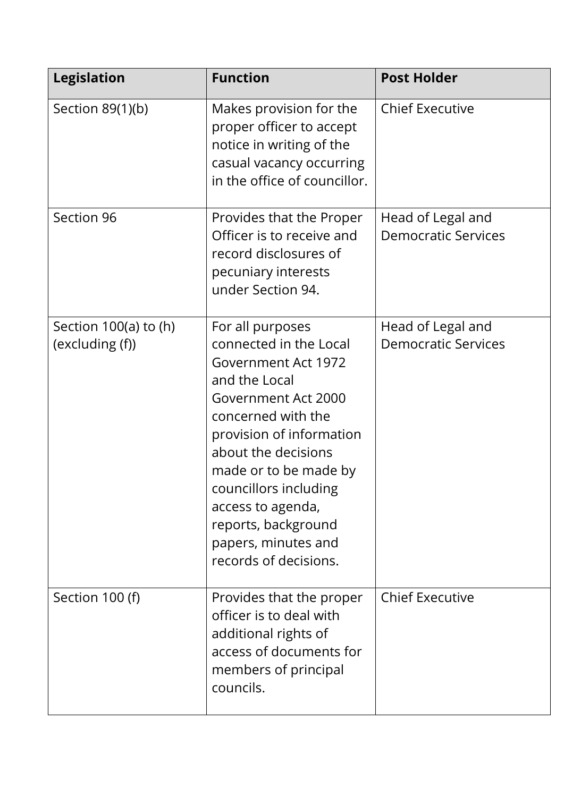| <b>Legislation</b>                         | <b>Function</b>                                                                                                                                                                                                                                                                                                                  | <b>Post Holder</b>                              |
|--------------------------------------------|----------------------------------------------------------------------------------------------------------------------------------------------------------------------------------------------------------------------------------------------------------------------------------------------------------------------------------|-------------------------------------------------|
| Section 89(1)(b)                           | Makes provision for the<br>proper officer to accept<br>notice in writing of the<br>casual vacancy occurring<br>in the office of councillor.                                                                                                                                                                                      | <b>Chief Executive</b>                          |
| Section 96                                 | Provides that the Proper<br>Officer is to receive and<br>record disclosures of<br>pecuniary interests<br>under Section 94.                                                                                                                                                                                                       | Head of Legal and<br><b>Democratic Services</b> |
| Section $100(a)$ to (h)<br>(excluding (f)) | For all purposes<br>connected in the Local<br>Government Act 1972<br>and the Local<br>Government Act 2000<br>concerned with the<br>provision of information<br>about the decisions<br>made or to be made by<br>councillors including<br>access to agenda,<br>reports, background<br>papers, minutes and<br>records of decisions. | Head of Legal and<br><b>Democratic Services</b> |
| Section 100 (f)                            | Provides that the proper<br>officer is to deal with<br>additional rights of<br>access of documents for<br>members of principal<br>councils.                                                                                                                                                                                      | <b>Chief Executive</b>                          |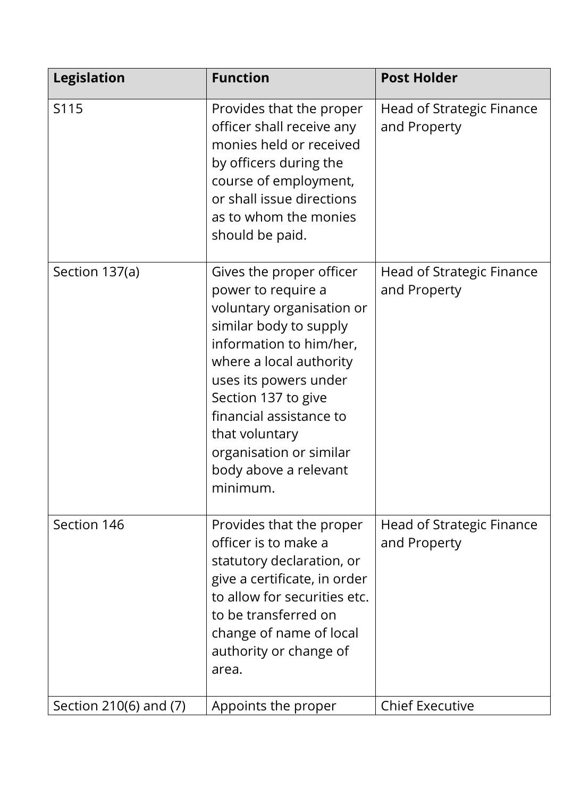| <b>Legislation</b>     | <b>Function</b>                                                                                                                                                                                                                                                                                                          | <b>Post Holder</b>                               |
|------------------------|--------------------------------------------------------------------------------------------------------------------------------------------------------------------------------------------------------------------------------------------------------------------------------------------------------------------------|--------------------------------------------------|
| S115                   | Provides that the proper<br>officer shall receive any<br>monies held or received<br>by officers during the<br>course of employment,<br>or shall issue directions<br>as to whom the monies<br>should be paid.                                                                                                             | Head of Strategic Finance<br>and Property        |
| Section 137(a)         | Gives the proper officer<br>power to require a<br>voluntary organisation or<br>similar body to supply<br>information to him/her,<br>where a local authority<br>uses its powers under<br>Section 137 to give<br>financial assistance to<br>that voluntary<br>organisation or similar<br>body above a relevant<br>minimum. | <b>Head of Strategic Finance</b><br>and Property |
| Section 146            | Provides that the proper<br>officer is to make a<br>statutory declaration, or<br>give a certificate, in order<br>to allow for securities etc.<br>to be transferred on<br>change of name of local<br>authority or change of<br>area.                                                                                      | Head of Strategic Finance<br>and Property        |
| Section 210(6) and (7) | Appoints the proper                                                                                                                                                                                                                                                                                                      | <b>Chief Executive</b>                           |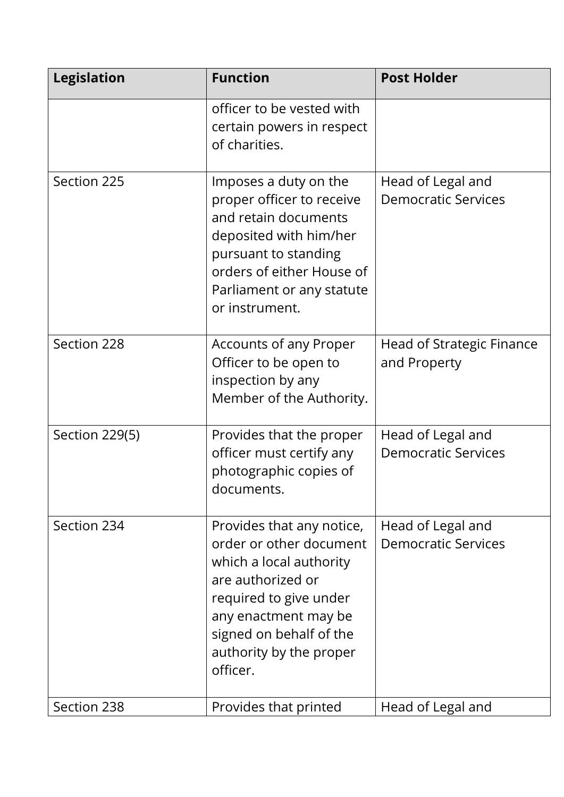| <b>Legislation</b> | <b>Function</b>                                                                                                                                                                                                          | <b>Post Holder</b>                              |
|--------------------|--------------------------------------------------------------------------------------------------------------------------------------------------------------------------------------------------------------------------|-------------------------------------------------|
|                    | officer to be vested with<br>certain powers in respect<br>of charities.                                                                                                                                                  |                                                 |
| Section 225        | Imposes a duty on the<br>proper officer to receive<br>and retain documents<br>deposited with him/her<br>pursuant to standing<br>orders of either House of<br>Parliament or any statute<br>or instrument.                 | Head of Legal and<br><b>Democratic Services</b> |
| Section 228        | Accounts of any Proper<br>Officer to be open to<br>inspection by any<br>Member of the Authority.                                                                                                                         | Head of Strategic Finance<br>and Property       |
| Section 229(5)     | Provides that the proper<br>officer must certify any<br>photographic copies of<br>documents.                                                                                                                             | Head of Legal and<br><b>Democratic Services</b> |
| Section 234        | Provides that any notice,<br>order or other document<br>which a local authority<br>are authorized or<br>required to give under<br>any enactment may be<br>signed on behalf of the<br>authority by the proper<br>officer. | Head of Legal and<br><b>Democratic Services</b> |
| Section 238        | Provides that printed                                                                                                                                                                                                    | Head of Legal and                               |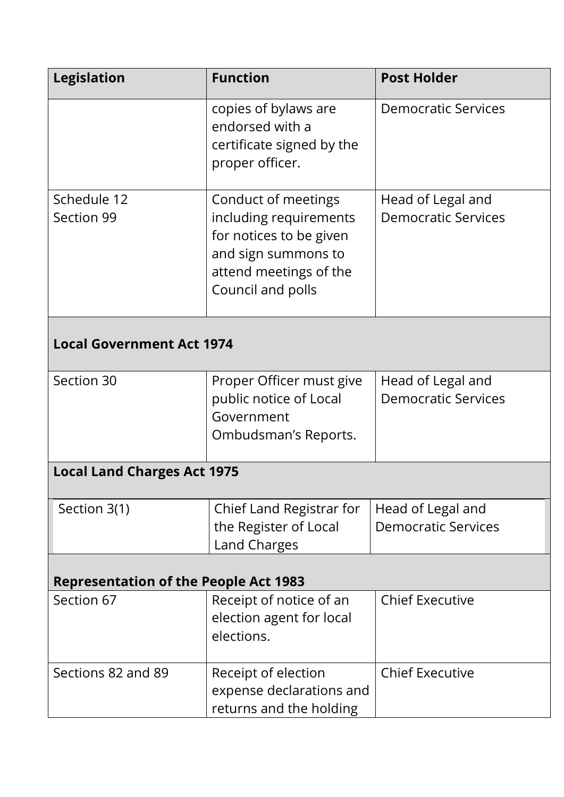| <b>Legislation</b>                           | <b>Function</b>                                                                                                                                | <b>Post Holder</b>                              |  |
|----------------------------------------------|------------------------------------------------------------------------------------------------------------------------------------------------|-------------------------------------------------|--|
|                                              | copies of bylaws are<br>endorsed with a<br>certificate signed by the<br>proper officer.                                                        | <b>Democratic Services</b>                      |  |
| Schedule 12<br>Section 99                    | Conduct of meetings<br>including requirements<br>for notices to be given<br>and sign summons to<br>attend meetings of the<br>Council and polls | Head of Legal and<br><b>Democratic Services</b> |  |
| <b>Local Government Act 1974</b>             |                                                                                                                                                |                                                 |  |
| Section 30                                   | Proper Officer must give<br>public notice of Local<br>Government<br>Ombudsman's Reports.                                                       | Head of Legal and<br><b>Democratic Services</b> |  |
| <b>Local Land Charges Act 1975</b>           |                                                                                                                                                |                                                 |  |
| Section 3(1)                                 | Chief Land Registrar for<br>the Register of Local<br>Land Charges                                                                              | Head of Legal and<br><b>Democratic Services</b> |  |
| <b>Representation of the People Act 1983</b> |                                                                                                                                                |                                                 |  |
| Section 67                                   | Receipt of notice of an<br>election agent for local<br>elections.                                                                              | <b>Chief Executive</b>                          |  |
| Sections 82 and 89                           | Receipt of election<br>expense declarations and<br>returns and the holding                                                                     | <b>Chief Executive</b>                          |  |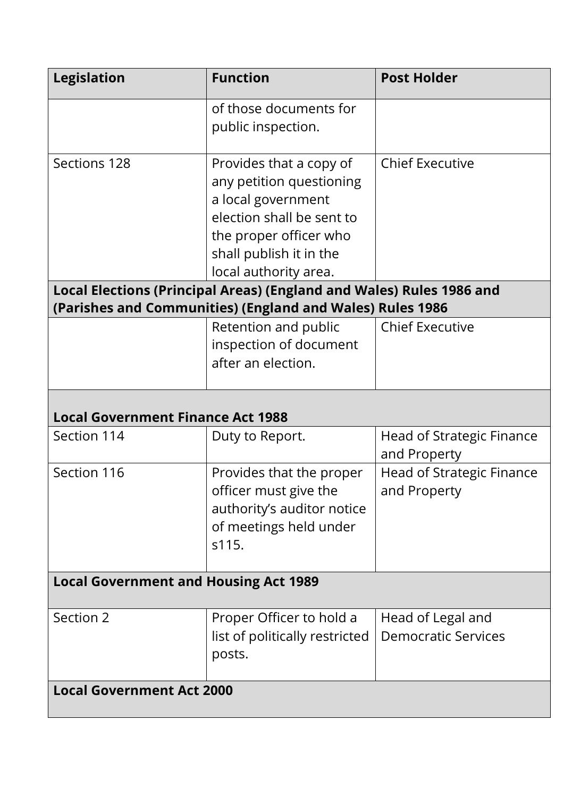| <b>Legislation</b>                                                                                                                | <b>Function</b>                                                                                                                                                                      | <b>Post Holder</b>                               |  |
|-----------------------------------------------------------------------------------------------------------------------------------|--------------------------------------------------------------------------------------------------------------------------------------------------------------------------------------|--------------------------------------------------|--|
|                                                                                                                                   | of those documents for<br>public inspection.                                                                                                                                         |                                                  |  |
| Sections 128                                                                                                                      | Provides that a copy of<br>any petition questioning<br>a local government<br>election shall be sent to<br>the proper officer who<br>shall publish it in the<br>local authority area. | <b>Chief Executive</b>                           |  |
| Local Elections (Principal Areas) (England and Wales) Rules 1986 and<br>(Parishes and Communities) (England and Wales) Rules 1986 |                                                                                                                                                                                      |                                                  |  |
|                                                                                                                                   | Retention and public<br>inspection of document<br>after an election.                                                                                                                 | <b>Chief Executive</b>                           |  |
| <b>Local Government Finance Act 1988</b>                                                                                          |                                                                                                                                                                                      |                                                  |  |
| Section 114                                                                                                                       | Duty to Report.                                                                                                                                                                      | Head of Strategic Finance<br>and Property        |  |
| Section 116                                                                                                                       | Provides that the proper<br>officer must give the<br>authority's auditor notice<br>of meetings held under<br>s115.                                                                   | <b>Head of Strategic Finance</b><br>and Property |  |
| <b>Local Government and Housing Act 1989</b>                                                                                      |                                                                                                                                                                                      |                                                  |  |
| Section 2                                                                                                                         | Proper Officer to hold a<br>list of politically restricted<br>posts.                                                                                                                 | Head of Legal and<br><b>Democratic Services</b>  |  |
| <b>Local Government Act 2000</b>                                                                                                  |                                                                                                                                                                                      |                                                  |  |